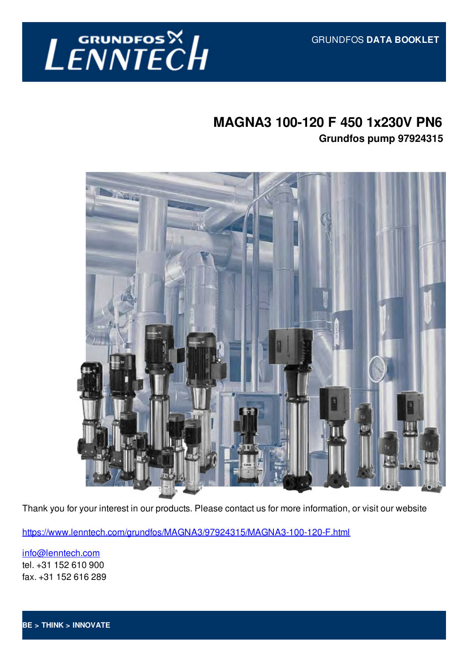

## **MAGNA3 100-120 F 450 1x230V PN6 Grundfos pump 97924315**



Thank you for your interest in our products. Please contact us for more information, or visit our website

https://www.lenntech.com/grundfos/MAGNA3/97924315/MAGNA3-100-120-F.html

info@lenntech.com tel. +31 152 610 900 fax. +31 152 616 289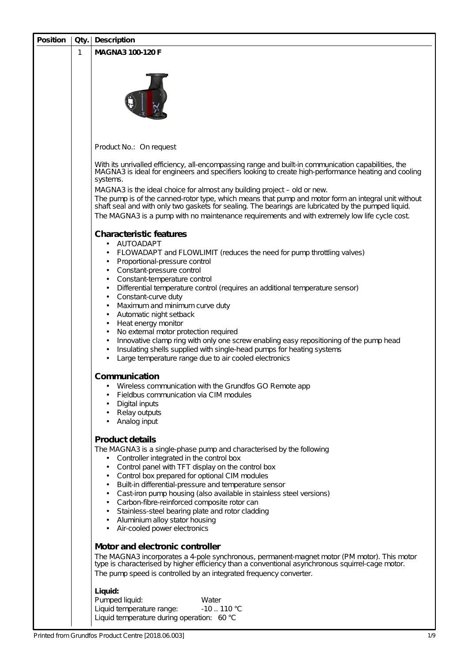| <b>Position</b> | Qty. | <b>Description</b>                                                                                                                                                                                                                                                                                                                                                                                                                                                                                                                                                                                                                         |  |  |  |  |  |
|-----------------|------|--------------------------------------------------------------------------------------------------------------------------------------------------------------------------------------------------------------------------------------------------------------------------------------------------------------------------------------------------------------------------------------------------------------------------------------------------------------------------------------------------------------------------------------------------------------------------------------------------------------------------------------------|--|--|--|--|--|
|                 | 1    | <b>MAGNA3 100-120 F</b>                                                                                                                                                                                                                                                                                                                                                                                                                                                                                                                                                                                                                    |  |  |  |  |  |
|                 |      |                                                                                                                                                                                                                                                                                                                                                                                                                                                                                                                                                                                                                                            |  |  |  |  |  |
|                 |      | Product No.: On request                                                                                                                                                                                                                                                                                                                                                                                                                                                                                                                                                                                                                    |  |  |  |  |  |
|                 |      | With its unrivalled efficiency, all-encompassing range and built-in communication capabilities, the<br>MAGNA3 is ideal for engineers and specifiers looking to create high-performance heating and cooling<br>systems.                                                                                                                                                                                                                                                                                                                                                                                                                     |  |  |  |  |  |
|                 |      | MAGNA3 is the ideal choice for almost any building project – old or new.<br>The pump is of the canned-rotor type, which means that pump and motor form an integral unit without<br>shaft seal and with only two gaskets for sealing. The bearings are lubricated by the pumped liquid.<br>The MAGNA3 is a pump with no maintenance requirements and with extremely low life cycle cost.                                                                                                                                                                                                                                                    |  |  |  |  |  |
|                 |      | <b>Characteristic features</b>                                                                                                                                                                                                                                                                                                                                                                                                                                                                                                                                                                                                             |  |  |  |  |  |
|                 |      | AUTOADAPT<br>$\bullet$<br>FLOWADAPT and FLOWLIMIT (reduces the need for pump throttling valves)<br>٠<br>Proportional-pressure control<br>٠<br>Constant-pressure control<br>٠<br>Constant-temperature control<br>$\bullet$                                                                                                                                                                                                                                                                                                                                                                                                                  |  |  |  |  |  |
|                 |      | Differential temperature control (requires an additional temperature sensor)<br>٠<br>Constant-curve duty<br>٠<br>Maximum and minimum curve duty<br>$\bullet$<br>Automatic night setback<br>$\bullet$<br>Heat energy monitor<br>$\bullet$                                                                                                                                                                                                                                                                                                                                                                                                   |  |  |  |  |  |
|                 |      | No external motor protection required<br>$\bullet$<br>Innovative clamp ring with only one screw enabling easy repositioning of the pump head<br>$\bullet$<br>Insulating shells supplied with single-head pumps for heating systems<br>٠<br>Large temperature range due to air cooled electronics                                                                                                                                                                                                                                                                                                                                           |  |  |  |  |  |
|                 |      | <b>Communication</b><br>Wireless communication with the Grundfos GO Remote app<br>Fieldbus communication via CIM modules<br>Digital inputs<br>٠<br>Relay outputs<br>٠<br>Analog input<br>٠                                                                                                                                                                                                                                                                                                                                                                                                                                                 |  |  |  |  |  |
|                 |      | <b>Product details</b><br>The MAGNA3 is a single-phase pump and characterised by the following<br>Controller integrated in the control box<br>٠<br>Control panel with TFT display on the control box<br>٠<br>Control box prepared for optional CIM modules<br>٠<br>Built-in differential-pressure and temperature sensor<br>$\bullet$<br>Cast-iron pump housing (also available in stainless steel versions)<br>$\bullet$<br>Carbon-fibre-reinforced composite rotor can<br>$\bullet$<br>Stainless-steel bearing plate and rotor cladding<br>$\bullet$<br>Aluminium alloy stator housing<br>$\bullet$<br>Air-cooled power electronics<br>٠ |  |  |  |  |  |
|                 |      | Motor and electronic controller<br>The MAGNA3 incorporates a 4-pole synchronous, permanent-magnet motor (PM motor). This motor<br>type is characterised by higher efficiency than a conventional asynchronous squirrel-cage motor.<br>The pump speed is controlled by an integrated frequency converter.                                                                                                                                                                                                                                                                                                                                   |  |  |  |  |  |
|                 |      | Liquid:<br>Pumped liquid:<br>Water<br>$-10$ 110 °C<br>Liquid temperature range:<br>Liquid temperature during operation: 60 °C                                                                                                                                                                                                                                                                                                                                                                                                                                                                                                              |  |  |  |  |  |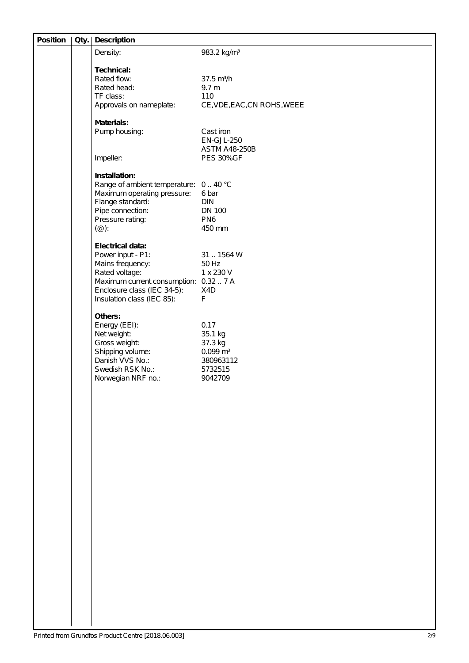| <b>Position</b> | Qty. | <b>Description</b>                                                  |                                    |
|-----------------|------|---------------------------------------------------------------------|------------------------------------|
|                 |      | Density:                                                            | 983.2 kg/m <sup>3</sup>            |
|                 |      | <b>Technical:</b>                                                   |                                    |
|                 |      | Rated flow:                                                         | $37.5 \text{ m}^3/h$               |
|                 |      | Rated head:                                                         | 9.7 <sub>m</sub>                   |
|                 |      | TF class:                                                           | 110                                |
|                 |      | Approvals on nameplate:                                             | CE, VDE, EAC, CN ROHS, WEEE        |
|                 |      | <b>Materials:</b>                                                   |                                    |
|                 |      | Pump housing:                                                       | Cast iron                          |
|                 |      |                                                                     | EN-GJL-250<br><b>ASTM A48-250B</b> |
|                 |      | Impeller:                                                           | <b>PES 30%GF</b>                   |
|                 |      |                                                                     |                                    |
|                 |      | Installation:                                                       |                                    |
|                 |      | Range of ambient temperature: 040 °C<br>Maximum operating pressure: | 6 bar                              |
|                 |      | Flange standard:                                                    | <b>DIN</b>                         |
|                 |      | Pipe connection:                                                    | <b>DN 100</b>                      |
|                 |      | Pressure rating:                                                    | PN <sub>6</sub>                    |
|                 |      | $(\circledcirc)$ :                                                  | 450 mm                             |
|                 |      | <b>Electrical data:</b>                                             |                                    |
|                 |      | Power input - P1:                                                   | 31  1564 W                         |
|                 |      | Mains frequency:                                                    | 50 Hz                              |
|                 |      | Rated voltage:<br>Maximum current consumption: 0.32  7 A            | 1 x 230 V                          |
|                 |      | Enclosure class (IEC 34-5):                                         | X4D                                |
|                 |      | Insulation class (IEC 85):                                          | $\mathsf F$                        |
|                 |      | Others:                                                             |                                    |
|                 |      | Energy (EEI):                                                       | 0.17                               |
|                 |      | Net weight:                                                         | 35.1 kg                            |
|                 |      | Gross weight:                                                       | 37.3 kg                            |
|                 |      | Shipping volume:<br>Danish VVS No.:                                 | $0.099 \; \text{m}^3$<br>380963112 |
|                 |      | Swedish RSK No.:                                                    | 5732515                            |
|                 |      | Norwegian NRF no.:                                                  | 9042709                            |
|                 |      |                                                                     |                                    |
|                 |      |                                                                     |                                    |
|                 |      |                                                                     |                                    |
|                 |      |                                                                     |                                    |
|                 |      |                                                                     |                                    |
|                 |      |                                                                     |                                    |
|                 |      |                                                                     |                                    |
|                 |      |                                                                     |                                    |
|                 |      |                                                                     |                                    |
|                 |      |                                                                     |                                    |
|                 |      |                                                                     |                                    |
|                 |      |                                                                     |                                    |
|                 |      |                                                                     |                                    |
|                 |      |                                                                     |                                    |
|                 |      |                                                                     |                                    |
|                 |      |                                                                     |                                    |
|                 |      |                                                                     |                                    |
|                 |      |                                                                     |                                    |
|                 |      |                                                                     |                                    |
|                 |      |                                                                     |                                    |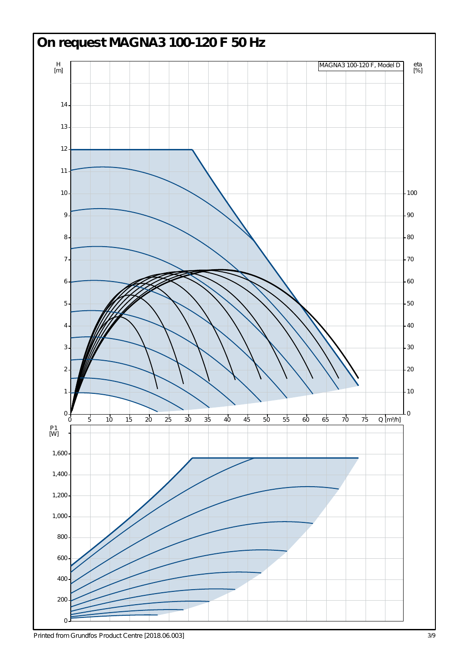

*Printed from Grundfos Product Centre [2018.06.003]*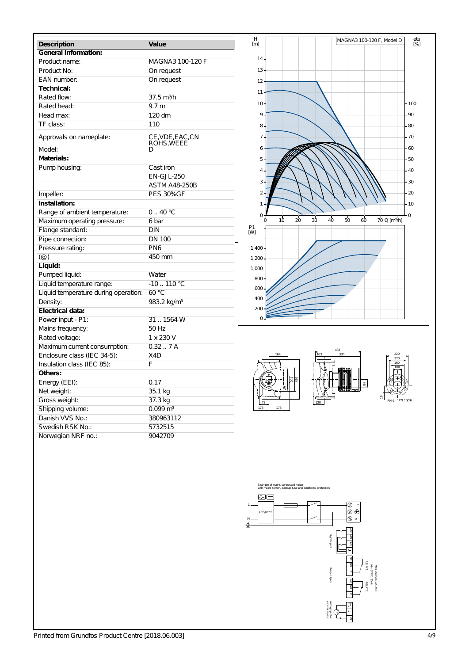| <b>Description</b>                   | Value                          |  |  |  |  |  |  |
|--------------------------------------|--------------------------------|--|--|--|--|--|--|
| <b>General information:</b>          |                                |  |  |  |  |  |  |
| Product name:                        | MAGNA3 100-120 F               |  |  |  |  |  |  |
| Product No:                          | On request                     |  |  |  |  |  |  |
| EAN number:                          | On request                     |  |  |  |  |  |  |
| Technical:                           |                                |  |  |  |  |  |  |
| Rated flow:                          | $37.5 \text{ m}^3/h$           |  |  |  |  |  |  |
| Rated head:                          | 9.7 <sub>m</sub>               |  |  |  |  |  |  |
| Head max:                            | 120 dm                         |  |  |  |  |  |  |
| TF class:                            | 110                            |  |  |  |  |  |  |
| Approvals on nameplate:              | CE, VDE, EAC, CN<br>ROHS, WEEE |  |  |  |  |  |  |
| Model:                               | D                              |  |  |  |  |  |  |
| Materials:                           |                                |  |  |  |  |  |  |
| Pump housing:                        | Cast iron                      |  |  |  |  |  |  |
|                                      | <b>EN-GJL-250</b>              |  |  |  |  |  |  |
|                                      | <b>ASTM A48-250B</b>           |  |  |  |  |  |  |
| Impeller:                            | <b>PES 30%GF</b>               |  |  |  |  |  |  |
| Installation:                        |                                |  |  |  |  |  |  |
| Range of ambient temperature:        | 0.40 °C                        |  |  |  |  |  |  |
| Maximum operating pressure:          | 6 bar                          |  |  |  |  |  |  |
| Flange standard:                     | <b>DIN</b>                     |  |  |  |  |  |  |
| Pipe connection:                     | <b>DN 100</b>                  |  |  |  |  |  |  |
| Pressure rating:                     | PN <sub>6</sub>                |  |  |  |  |  |  |
| $(\circleda)$                        | 450 mm                         |  |  |  |  |  |  |
| Liquid:                              |                                |  |  |  |  |  |  |
| Pumped liquid:                       | Water                          |  |  |  |  |  |  |
| Liquid temperature range:            | -10  110 °C                    |  |  |  |  |  |  |
| Liquid temperature during operation: | 60 °C                          |  |  |  |  |  |  |
| Density:                             | 983.2 kg/m <sup>3</sup>        |  |  |  |  |  |  |
| <b>Electrical data:</b>              |                                |  |  |  |  |  |  |
| Power input - P1:                    | 31  1564 W                     |  |  |  |  |  |  |
| Mains frequency:                     | 50 Hz                          |  |  |  |  |  |  |
| Rated voltage:                       | 1 x 230 V                      |  |  |  |  |  |  |
| Maximum current consumption:         | $0.32-.7A$                     |  |  |  |  |  |  |
| Enclosure class (IEC 34-5):          | X <sub>4</sub> D               |  |  |  |  |  |  |
| Insulation class (IEC 85):           | F                              |  |  |  |  |  |  |
| Others:                              |                                |  |  |  |  |  |  |
| Energy (EEI):                        | 0.17                           |  |  |  |  |  |  |
| Net weight:                          | 35.1 kg                        |  |  |  |  |  |  |
| Gross weight:                        | 37.3 kg                        |  |  |  |  |  |  |
| Shipping volume:                     | $0.099$ m <sup>3</sup>         |  |  |  |  |  |  |
| Danish VVS No.:                      | 380963112                      |  |  |  |  |  |  |
| Swedish RSK No.:                     | 5732515                        |  |  |  |  |  |  |
| Norwegian NRF no.:                   | 9042709                        |  |  |  |  |  |  |









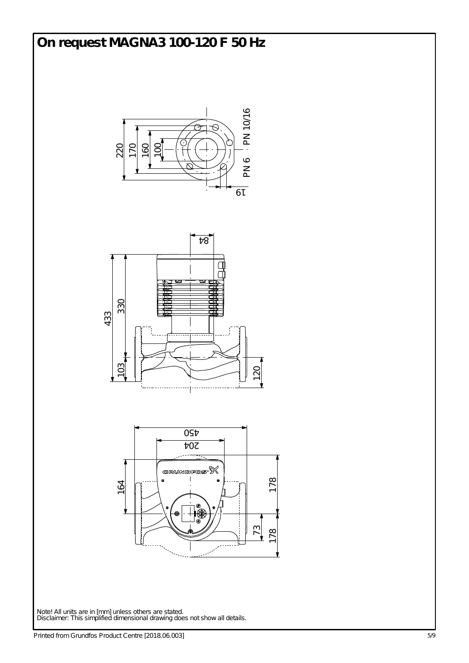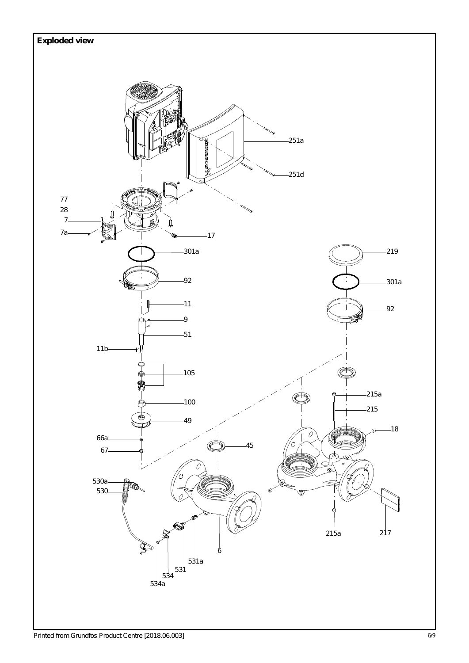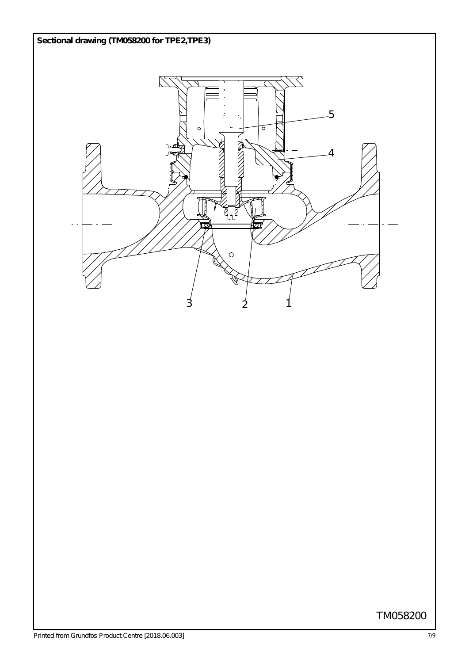

## TM058200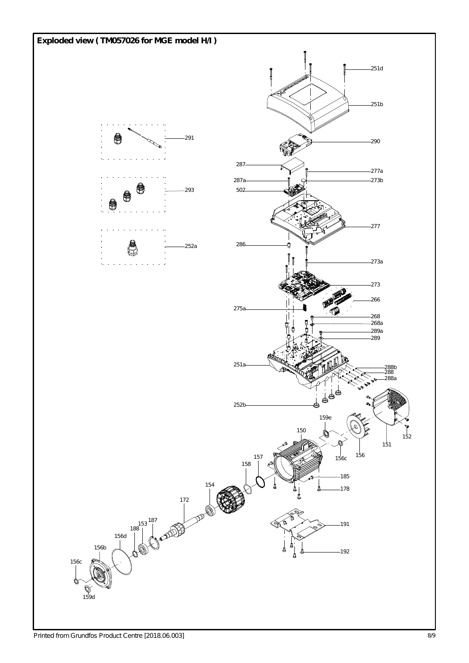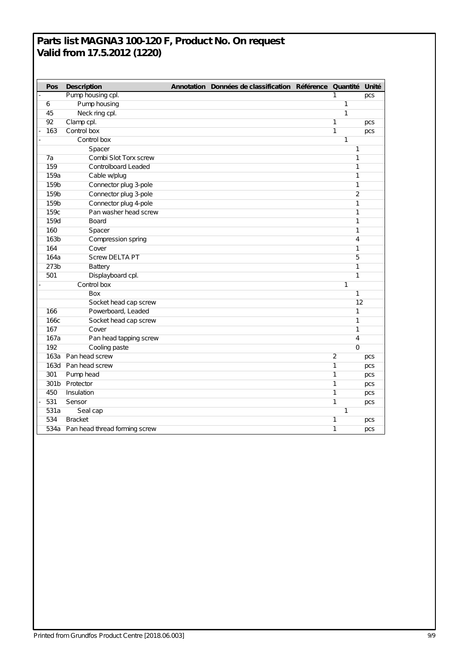## **Parts list MAGNA3 100-120 F, Product No. On request Valid from 17.5.2012 (1220)**

| Pos  | <b>Description</b>                 |  | Annotation Données de classification Référence Quantité Unité |                |                |
|------|------------------------------------|--|---------------------------------------------------------------|----------------|----------------|
|      | Pump housing cpl.                  |  |                                                               | 1              | pcs            |
| 6    | Pump housing                       |  |                                                               | 1              |                |
| 45   | Neck ring cpl.                     |  |                                                               | $\mathbf{1}$   |                |
| 92   | Clamp cpl.                         |  |                                                               | 1              | pcs            |
| 163  | Control box                        |  |                                                               | $\mathbf{1}$   | pcs            |
|      | Control box                        |  |                                                               | $\mathbf{1}$   |                |
|      | Spacer                             |  |                                                               |                | 1              |
| 7a   | Combi Slot Torx screw              |  |                                                               |                | 1              |
| 159  | Controlboard Leaded                |  |                                                               |                | $\mathbf{1}$   |
| 159a | Cable w/plug                       |  |                                                               |                | 1              |
| 159b | Connector plug 3-pole              |  |                                                               |                | 1              |
| 159b | Connector plug 3-pole              |  |                                                               |                | $\overline{2}$ |
| 159b | Connector plug 4-pole              |  |                                                               |                | 1              |
| 159c | Pan washer head screw              |  |                                                               |                | 1              |
| 159d | Board                              |  |                                                               |                | 1              |
| 160  | Spacer                             |  |                                                               |                | 1              |
| 163b | Compression spring                 |  |                                                               |                | 4              |
| 164  | Cover                              |  |                                                               |                | 1              |
| 164a | <b>Screw DELTA PT</b>              |  |                                                               | 5              |                |
| 273b | <b>Battery</b>                     |  |                                                               |                | 1              |
| 501  | Displayboard cpl.                  |  |                                                               |                | 1              |
|      | Control box                        |  |                                                               | $\mathbf{1}$   |                |
|      | Box                                |  |                                                               |                | 1              |
|      | Socket head cap screw              |  |                                                               |                | 12             |
| 166  | Powerboard, Leaded                 |  |                                                               |                | 1              |
| 166c | Socket head cap screw              |  |                                                               |                | $\mathbf{1}$   |
| 167  | Cover                              |  |                                                               |                | 1              |
| 167a | Pan head tapping screw             |  |                                                               |                | 4              |
| 192  | Cooling paste                      |  |                                                               |                | $\mathbf 0$    |
| 163a | Pan head screw                     |  |                                                               | $\overline{2}$ | pcs            |
|      | 163d Pan head screw                |  |                                                               | 1              | pcs            |
| 301  | Pump head                          |  |                                                               | $\mathbf{1}$   | pcs            |
|      | 301b Protector                     |  |                                                               | $\mathbf{1}$   | pcs            |
| 450  | Insulation                         |  |                                                               | $\mathbf{1}$   | pcs            |
| 531  | Sensor                             |  |                                                               | $\mathbf{1}$   | pcs            |
| 531a | Seal cap                           |  | 1                                                             |                |                |
| 534  | <b>Bracket</b>                     |  |                                                               | 1              | pcs            |
|      | 534a Pan head thread forming screw |  |                                                               | $\mathbf{1}$   | pcs            |